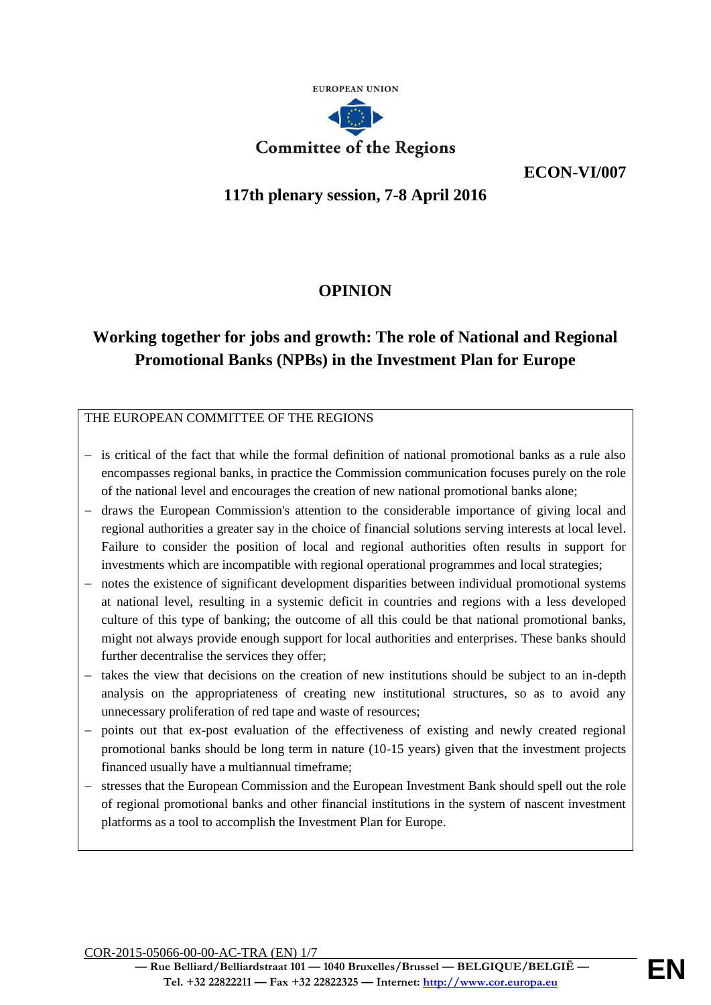

**ECON-VI/007**

## **117th plenary session, 7-8 April 2016**

# **OPINION**

# **Working together for jobs and growth: The role of National and Regional Promotional Banks (NPBs) in the Investment Plan for Europe**

## THE EUROPEAN COMMITTEE OF THE REGIONS

- − is critical of the fact that while the formal definition of national promotional banks as a rule also encompasses regional banks, in practice the Commission communication focuses purely on the role of the national level and encourages the creation of new national promotional banks alone;
- − draws the European Commission's attention to the considerable importance of giving local and regional authorities a greater say in the choice of financial solutions serving interests at local level. Failure to consider the position of local and regional authorities often results in support for investments which are incompatible with regional operational programmes and local strategies;
- − notes the existence of significant development disparities between individual promotional systems at national level, resulting in a systemic deficit in countries and regions with a less developed culture of this type of banking; the outcome of all this could be that national promotional banks, might not always provide enough support for local authorities and enterprises. These banks should further decentralise the services they offer;
- − takes the view that decisions on the creation of new institutions should be subject to an in-depth analysis on the appropriateness of creating new institutional structures, so as to avoid any unnecessary proliferation of red tape and waste of resources;
- points out that ex-post evaluation of the effectiveness of existing and newly created regional promotional banks should be long term in nature (10-15 years) given that the investment projects financed usually have a multiannual timeframe;
- stresses that the European Commission and the European Investment Bank should spell out the role of regional promotional banks and other financial institutions in the system of nascent investment platforms as a tool to accomplish the Investment Plan for Europe.

COR-2015-05066-00-00-AC-TRA (EN) 1/7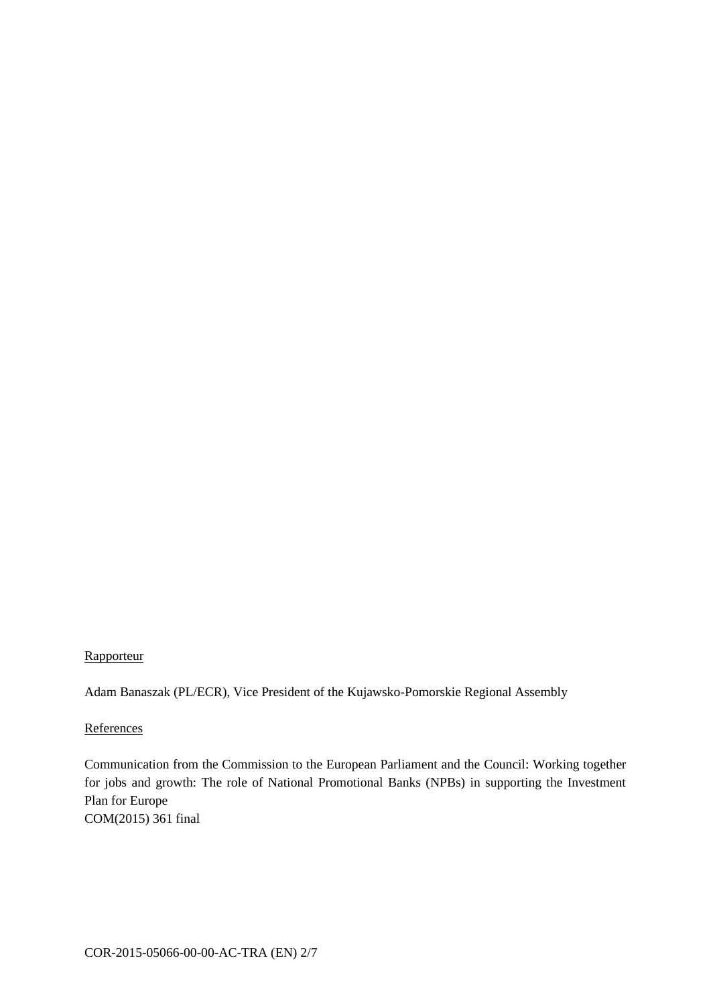## **Rapporteur**

Adam Banaszak (PL/ECR), Vice President of the Kujawsko-Pomorskie Regional Assembly

#### **References**

Communication from the Commission to the European Parliament and the Council: Working together for jobs and growth: The role of National Promotional Banks (NPBs) in supporting the Investment Plan for Europe COM(2015) 361 final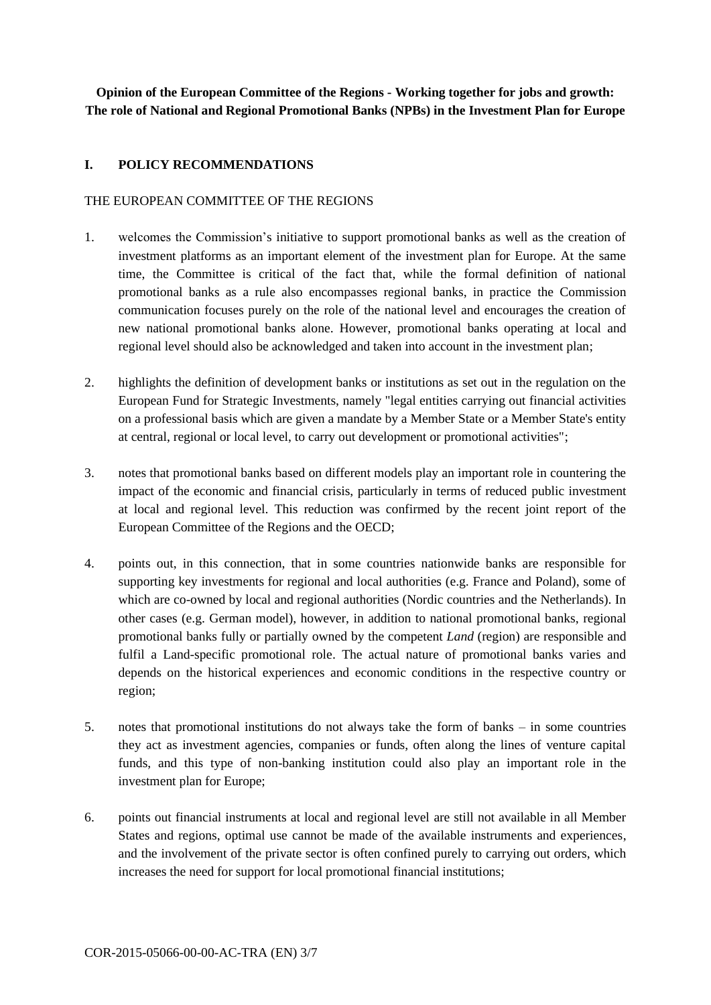**Opinion of the European Committee of the Regions - Working together for jobs and growth: The role of National and Regional Promotional Banks (NPBs) in the Investment Plan for Europe**

## **I. POLICY RECOMMENDATIONS**

#### THE EUROPEAN COMMITTEE OF THE REGIONS

- 1. welcomes the Commission's initiative to support promotional banks as well as the creation of investment platforms as an important element of the investment plan for Europe. At the same time, the Committee is critical of the fact that, while the formal definition of national promotional banks as a rule also encompasses regional banks, in practice the Commission communication focuses purely on the role of the national level and encourages the creation of new national promotional banks alone. However, promotional banks operating at local and regional level should also be acknowledged and taken into account in the investment plan;
- 2. highlights the definition of development banks or institutions as set out in the regulation on the European Fund for Strategic Investments, namely "legal entities carrying out financial activities on a professional basis which are given a mandate by a Member State or a Member State's entity at central, regional or local level, to carry out development or promotional activities";
- 3. notes that promotional banks based on different models play an important role in countering the impact of the economic and financial crisis, particularly in terms of reduced public investment at local and regional level. This reduction was confirmed by the recent joint report of the European Committee of the Regions and the OECD;
- 4. points out, in this connection, that in some countries nationwide banks are responsible for supporting key investments for regional and local authorities (e.g. France and Poland), some of which are co-owned by local and regional authorities (Nordic countries and the Netherlands). In other cases (e.g. German model), however, in addition to national promotional banks, regional promotional banks fully or partially owned by the competent *Land* (region) are responsible and fulfil a Land-specific promotional role. The actual nature of promotional banks varies and depends on the historical experiences and economic conditions in the respective country or region;
- 5. notes that promotional institutions do not always take the form of banks in some countries they act as investment agencies, companies or funds, often along the lines of venture capital funds, and this type of non-banking institution could also play an important role in the investment plan for Europe;
- 6. points out financial instruments at local and regional level are still not available in all Member States and regions, optimal use cannot be made of the available instruments and experiences, and the involvement of the private sector is often confined purely to carrying out orders, which increases the need for support for local promotional financial institutions;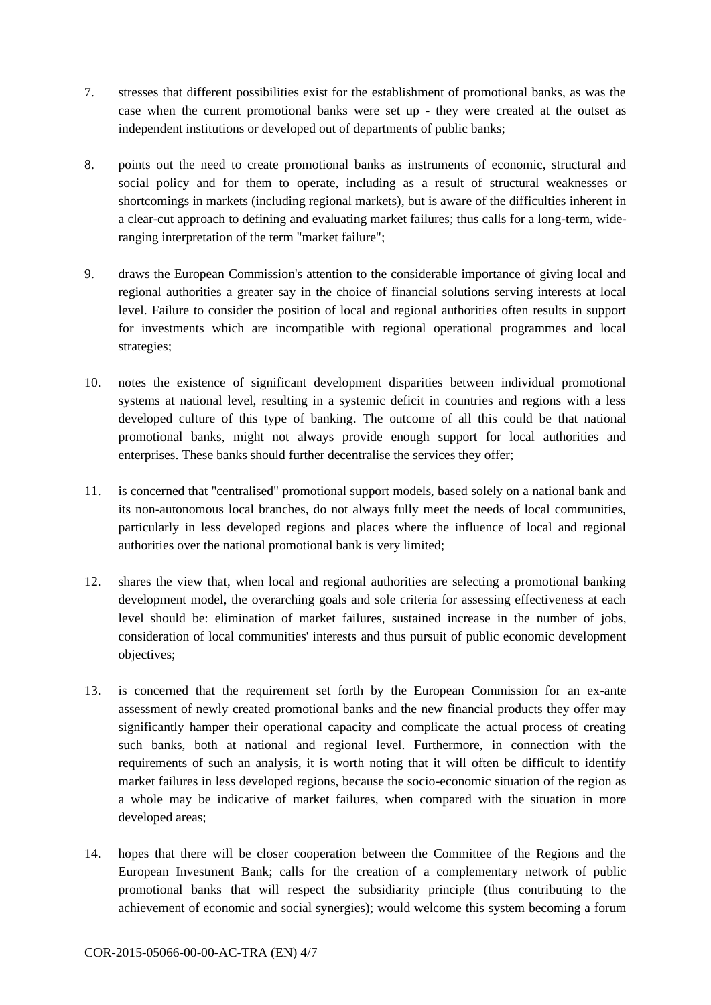- 7. stresses that different possibilities exist for the establishment of promotional banks, as was the case when the current promotional banks were set up - they were created at the outset as independent institutions or developed out of departments of public banks;
- 8. points out the need to create promotional banks as instruments of economic, structural and social policy and for them to operate, including as a result of structural weaknesses or shortcomings in markets (including regional markets), but is aware of the difficulties inherent in a clear-cut approach to defining and evaluating market failures; thus calls for a long-term, wideranging interpretation of the term "market failure";
- 9. draws the European Commission's attention to the considerable importance of giving local and regional authorities a greater say in the choice of financial solutions serving interests at local level. Failure to consider the position of local and regional authorities often results in support for investments which are incompatible with regional operational programmes and local strategies;
- 10. notes the existence of significant development disparities between individual promotional systems at national level, resulting in a systemic deficit in countries and regions with a less developed culture of this type of banking. The outcome of all this could be that national promotional banks, might not always provide enough support for local authorities and enterprises. These banks should further decentralise the services they offer;
- 11. is concerned that "centralised" promotional support models, based solely on a national bank and its non-autonomous local branches, do not always fully meet the needs of local communities, particularly in less developed regions and places where the influence of local and regional authorities over the national promotional bank is very limited;
- 12. shares the view that, when local and regional authorities are selecting a promotional banking development model, the overarching goals and sole criteria for assessing effectiveness at each level should be: elimination of market failures, sustained increase in the number of jobs, consideration of local communities' interests and thus pursuit of public economic development objectives;
- 13. is concerned that the requirement set forth by the European Commission for an ex-ante assessment of newly created promotional banks and the new financial products they offer may significantly hamper their operational capacity and complicate the actual process of creating such banks, both at national and regional level. Furthermore, in connection with the requirements of such an analysis, it is worth noting that it will often be difficult to identify market failures in less developed regions, because the socio-economic situation of the region as a whole may be indicative of market failures, when compared with the situation in more developed areas;
- 14. hopes that there will be closer cooperation between the Committee of the Regions and the European Investment Bank; calls for the creation of a complementary network of public promotional banks that will respect the subsidiarity principle (thus contributing to the achievement of economic and social synergies); would welcome this system becoming a forum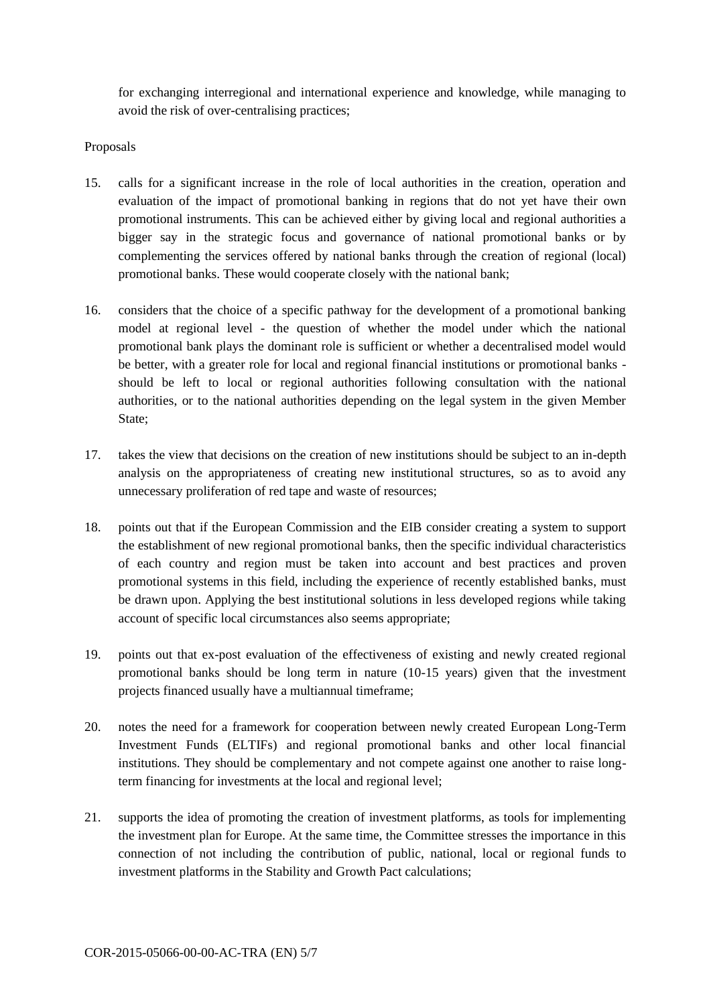for exchanging interregional and international experience and knowledge, while managing to avoid the risk of over-centralising practices;

## Proposals

- 15. calls for a significant increase in the role of local authorities in the creation, operation and evaluation of the impact of promotional banking in regions that do not yet have their own promotional instruments. This can be achieved either by giving local and regional authorities a bigger say in the strategic focus and governance of national promotional banks or by complementing the services offered by national banks through the creation of regional (local) promotional banks. These would cooperate closely with the national bank;
- 16. considers that the choice of a specific pathway for the development of a promotional banking model at regional level - the question of whether the model under which the national promotional bank plays the dominant role is sufficient or whether a decentralised model would be better, with a greater role for local and regional financial institutions or promotional banks should be left to local or regional authorities following consultation with the national authorities, or to the national authorities depending on the legal system in the given Member State;
- 17. takes the view that decisions on the creation of new institutions should be subject to an in-depth analysis on the appropriateness of creating new institutional structures, so as to avoid any unnecessary proliferation of red tape and waste of resources;
- 18. points out that if the European Commission and the EIB consider creating a system to support the establishment of new regional promotional banks, then the specific individual characteristics of each country and region must be taken into account and best practices and proven promotional systems in this field, including the experience of recently established banks, must be drawn upon. Applying the best institutional solutions in less developed regions while taking account of specific local circumstances also seems appropriate;
- 19. points out that ex-post evaluation of the effectiveness of existing and newly created regional promotional banks should be long term in nature (10-15 years) given that the investment projects financed usually have a multiannual timeframe;
- 20. notes the need for a framework for cooperation between newly created European Long-Term Investment Funds (ELTIFs) and regional promotional banks and other local financial institutions. They should be complementary and not compete against one another to raise longterm financing for investments at the local and regional level;
- 21. supports the idea of promoting the creation of investment platforms, as tools for implementing the investment plan for Europe. At the same time, the Committee stresses the importance in this connection of not including the contribution of public, national, local or regional funds to investment platforms in the Stability and Growth Pact calculations;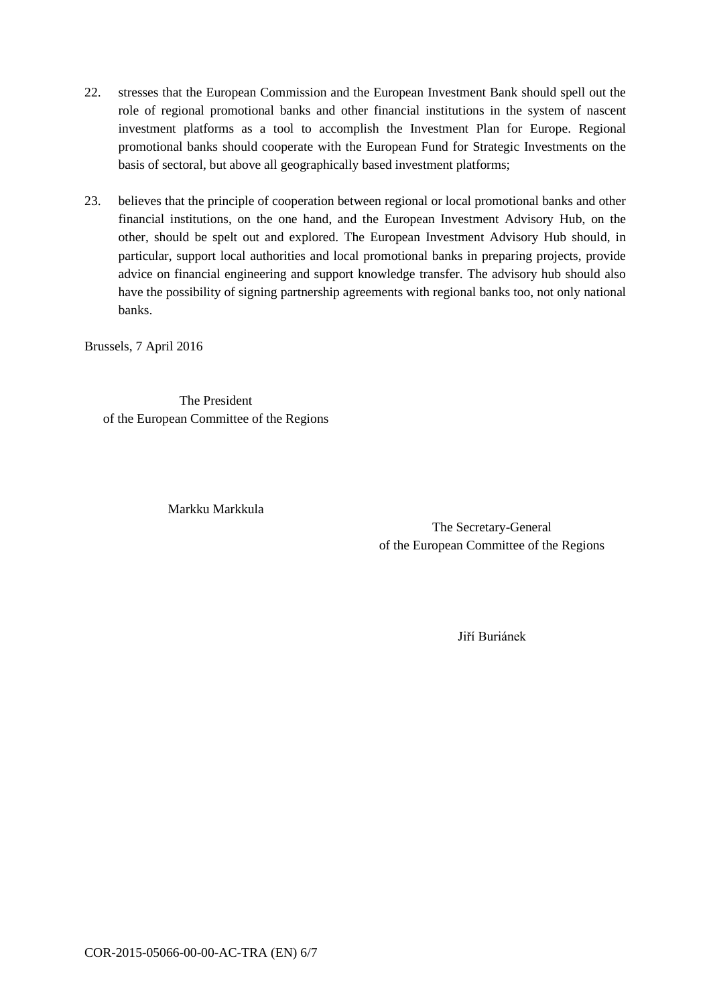- 22. stresses that the European Commission and the European Investment Bank should spell out the role of regional promotional banks and other financial institutions in the system of nascent investment platforms as a tool to accomplish the Investment Plan for Europe. Regional promotional banks should cooperate with the European Fund for Strategic Investments on the basis of sectoral, but above all geographically based investment platforms;
- 23. believes that the principle of cooperation between regional or local promotional banks and other financial institutions, on the one hand, and the European Investment Advisory Hub, on the other, should be spelt out and explored. The European Investment Advisory Hub should, in particular, support local authorities and local promotional banks in preparing projects, provide advice on financial engineering and support knowledge transfer. The advisory hub should also have the possibility of signing partnership agreements with regional banks too, not only national banks.

Brussels, 7 April 2016

The President of the European Committee of the Regions

Markku Markkula

The Secretary-General of the European Committee of the Regions

Jiří Buriánek